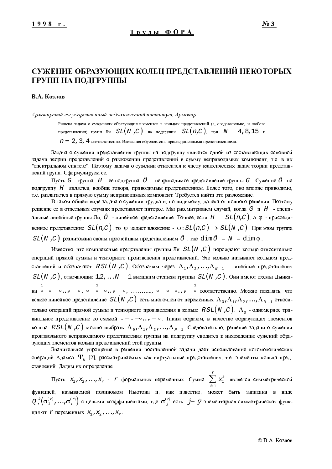# СУЖЕНИЕ ОБРАЗУЮЩИХ КОЛЕЦ ПРЕДСТАВЛЕНИЙ НЕКОТОРЫХ ГРУПП НА ПОДГРУППЫ

### В.А. Козлов

Армавирский государственный педагогический институт, Армавир

Решена задача о суждениях образующих элементов в кольцах представлений (а, следовательно, и любого представления) групп Ли  $SL(N, C)$  на подгруппы  $SL(n, C)$ , при  $N = 4, 8, 15$  и  $n = 2$ , 3, 4 соответственно. Вложения обусловлены присоединенными представлениями.

Задача о сужении представления группы на подгруппу является одной из составляющих основной задачи теории представлений о разложении представлений в сумму неприводимых компонент, т.е. в их "спектральном синтезе". Поэтому задача о сужении относится к числу классических задач теории представлений групп. Сформулируем ее.

Пусть  $G$  - группа,  $H$  - ее подгруппа,  $\hat{O}$  - неприводимое представление группы  $G$ . Сужение  $\hat{O}$  на подгруппу Н является, вообще говоря, приводимым представлением. Более того, оно вполне приводимо, т.е. разлагается в прямую сумму неприводимых компонент. Требуется найти это разложение.

В таком общем виде задача о сужении трудна и, по-видимому, далека от полного решения. Поэтому решение ее в отдельных случаях представляет интерес. Мы рассматриваем случай, когда G и H - специальные линейные группы Ли,  $\hat{O}$  - линейное представление. Точнее, если  $H = SL(n, C)$ , а  $\emptyset$  - присоединенное представление  $SL(n, C)$ , то  $\varphi$  задает вложение -  $\varphi : SL(n, C) \to SL(N, C)$ . При этом группа  $SL(N, C)$  реализована своим простейшим представлением  $\hat{O}$ , где  $dim \hat{O} = N = dim \varphi$ .

Известно, что комплексные предствления группы Ли  $SL(N, C)$  порождают кольцо относительно операций прямой суммы и тензорного произведения представлений. Это кольцо называют кольцом представлений и обозначают  $RSL(N, C)$ . Обозначим через  $\Lambda_1, \Lambda_2, ..., \Lambda_{N-1}$  - линейные представления  $SL(N, C)$ , отвечающие  $1, 2, ...N-1$  внешним степням группы  $SL(N, C)$ . Они имеют схемы Дынки-1<br>
на  $\circ-\circ\ldots\circ-\circ$ ,  $\circ-\circ\ldots\circ-\circ\ldots\circ\cdots\cdots\circ$   $\circ-\circ\ldots\circ\circ\circ\cdot\cdot\circ$  соответственно. Можно показать, что всякое линейное представление  $SL(N, C)$  есть многочлен от переменных  $\Lambda_0, \Lambda_1, \Lambda_2, ..., \Lambda_{N-1}$  относительно операций прямой суммы и тензорного произведения в кольце  $RSL(N, C)$ .  $\Lambda_{0}$  - одномерное тривиальное представление со схемой о - о -о .. о - о . Таким образом, в качестве образующих элементов кольца  $RSL(N,C)$  можно выбрать  $\Lambda_0$ ,  $\Lambda_1$ ,  $\Lambda_2$ , ...,  $\Lambda_{N-1}$ . Следовательно, решение задачи о сужении произвольного неприводимого представления группы на подгруппу сводится к нахождению сужений образующих элементов кольца представлений этой группы.

Значительное упрощение в решении поставленной задачи дает использование когомологических операций Адамса  $\Psi_k$  [2], рассматриваемых как виртуальные представления, т.е. элементы кольца представлений. Дадим их определение.

Пусть  $x_1, x_2, ..., x_r$  -  $r$  формальных переменных. Сумма  $\sum_{i=1}^{r} x_i^k$  является симметрической функцией, называемой полиномом Ньютона и, как известно, может быть записана <mark>в в</mark>иде  $Q_r^k(\sigma_1^{(r)},...,\sigma_r^{(r)})$  с целыми коэффициентами, где  $\sigma_j^{(r)}$  есть  $j \ddot{y}$  элементарная симметрическая функция от  $\mathcal{L}$  переменных  $X_1, X_2, \ldots, X_n$ .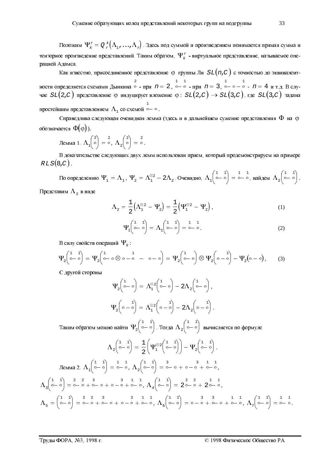Положим  $\Psi_k^x = Q_x^k(\Lambda_1, ..., \Lambda_r)$ . Здесь под суммой и произведением понимается прямая сумма и тензорное произведение представлений. Таким образом,  $\Psi_k^x$  - виртуальное представление, называемое операцией Адамса.

Как известно, присоединенное представление  $\varphi$  группы Ли  $SL(n, C)$  с точностью до эквивалентности определяется схемами Дынкина  $\circ$  - при  $n = 2$ ,  $\circ - \circ$  - при  $n = 3$ ,  $\circ - \circ - \circ$  -  $n = 4$  и т.д. В слу-<br>чае  $SL(2, C)$  представление  $\circ$  индуцирует вложение  $\circ$ :  $SL(2, C) \rightarrow SL(3, C)$ , где  $SL(3, C)$  задана простейшим представлением  $\Lambda_1$  со схемой  $\overline{\circ}$  –  $\circ$ .

Справедлива следующая очевидная лемма (здесь и в дальнейшем сужение представления  $\Phi$  на  $\varphi$ обозначается  $\Phi(\varphi)$ ).

$$
\text{Lemma 1. } \Lambda_1 \begin{pmatrix} 2 \\ 0 \end{pmatrix} = \begin{pmatrix} 2 \\ 0 \end{pmatrix}, \Lambda_2 \begin{pmatrix} 2 \\ 0 \end{pmatrix} = \begin{pmatrix} 2 \\ 0 \end{pmatrix}.
$$

В доказательстве следующих двух лемм использован прием, который продемонстрируем на примере  $RLS(8,C)$ .

По определению 
$$
\Psi_1 = \Lambda_1
$$
,  $\Psi_2 = \Lambda_1^{\otimes 2} - 2\Lambda_2$ . Очевидно,  $\Lambda_1 \begin{pmatrix} 1 & 1 \ 0 & 0 \end{pmatrix} = \begin{pmatrix} 1 & 1 \ 0 & 0 \end{pmatrix}$    
Представим  $\Lambda_2$  в виде

$$
\Lambda_2 = \frac{1}{2} \Big( \Lambda_1^{\otimes 2} - \Psi_2 \Big) = \frac{1}{2} \Big( \Psi_1^{\otimes 2} - \Psi_2 \Big), \tag{1}
$$

$$
\Psi_1 \begin{pmatrix} 1 & 1 \\ 0 & 0 \end{pmatrix} = \Lambda_1 \begin{pmatrix} 1 & 1 \\ 0 & 0 \end{pmatrix} = \begin{pmatrix} 1 & 1 \\ 0 & 0 \end{pmatrix}.
$$
 (2)

В силу свойств операций  $\Psi_k$ :

$$
\Psi_2\begin{pmatrix} 1 & 1 \\ 0 & 0 \end{pmatrix} = \Psi_2\begin{pmatrix} 1 & 0 \\ 0 & 0 \end{pmatrix} \circ \phi_2\begin{pmatrix} 1 & 0 \\ 0 & 0 \end{pmatrix} = \Psi_2\begin{pmatrix} 1 & 0 \\ 0 & 0 \end{pmatrix} \otimes \Psi_2\begin{pmatrix} 1 & 0 \\ 0 & 0 \end{pmatrix} - \Psi_2\begin{pmatrix} 0 & 0 \end{pmatrix}, \tag{3}
$$

С другой стороны

$$
\Psi_2\begin{pmatrix} 1 \\ \circ - \circ \end{pmatrix} = \Lambda_1^{\otimes 2} \begin{pmatrix} 1 \\ \circ - \circ \end{pmatrix} - 2\Lambda_2 \begin{pmatrix} 1 \\ \circ - \circ \end{pmatrix},
$$

$$
\Psi_2\begin{pmatrix} 1 \\ \circ - \circ \end{pmatrix} = \Lambda_1^{\otimes 2} \begin{pmatrix} 1 \\ \circ - \circ \end{pmatrix} - 2\Lambda_2 \begin{pmatrix} 1 \\ \circ - \circ \end{pmatrix}.
$$

Таким образом можно найти  $\Psi_2\begin{pmatrix} 1 & 1 \\ 0 & 0 \end{pmatrix}$ . Тогда  $\Lambda_2\begin{pmatrix} 1 & 1 \\ 0 & 0 \end{pmatrix}$  вычисляется по формуле

$$
\Lambda_{2}\begin{pmatrix} 1 & 1 \ 0 & 0 \end{pmatrix} = \frac{1}{2} \begin{pmatrix} \Psi_{1}^{\otimes 2} \begin{pmatrix} 1 & 1 \ 0 & 0 \end{pmatrix} - \Psi_{2} \begin{pmatrix} 1 & 1 \ 0 & 0 \end{pmatrix}.
$$
  
\n
$$
\text{Lemma 2. } \Lambda_{1}\begin{pmatrix} 1 & 1 \ 0 & 0 \end{pmatrix} = \begin{pmatrix} 1 & 1 \ 0 & 0 \end{pmatrix} = \begin{pmatrix} 1 & 1 \ 0 & 0 \end{pmatrix} = \begin{pmatrix} 3 & 1 \ 0 & 0 \end{pmatrix} = \begin{pmatrix} 3 & 1 \ 0 & 0 \end{pmatrix} = \begin{pmatrix} 3 & 1 \ 0 & 0 \end{pmatrix} = \begin{pmatrix} 3 & 1 \ 0 & 0 \end{pmatrix} = \begin{pmatrix} 3 & 1 \ 0 & 0 \end{pmatrix} = \begin{pmatrix} 3 & 1 \ 0 & 0 \end{pmatrix} = \begin{pmatrix} 3 & 1 \ 0 & 0 \end{pmatrix} = \begin{pmatrix} 2 & 2 \ 0 & 0 \end{pmatrix} = \begin{pmatrix} 1 & 1 \ 0 & 0 \end{pmatrix} = \begin{pmatrix} 2 & 2 \ 0 & 0 \end{pmatrix} = \begin{pmatrix} 1 & 1 \ 0 & 0 \end{pmatrix} = \begin{pmatrix} 2 & 1 \ 0 & 0 \end{pmatrix} = \begin{pmatrix} 1 & 1 \ 0 & 0 \end{pmatrix} = \begin{pmatrix} 2 & 1 \ 0 & 0 \end{pmatrix} = \begin{pmatrix} 1 & 1 \ 0 & 0 \end{pmatrix} = \begin{pmatrix} 2 & 2 \ 0 & 0 \end{pmatrix} = \begin{pmatrix} 3 & 3 \ 0 & 0 \end{pmatrix} = \begin{pmatrix} 1 & 1 \ 0 & 0 \end{pmatrix} = \begin{pmatrix} 1 & 1 \ 0 & 0 \end{pmatrix} = \begin{pmatrix} 1 & 1 \ 0 & 0 \end{pmatrix} = \begin{pmatrix} 1 & 1 \ 0 & 0 \end{pmatrix} = \begin{pmatrix} 1 & 1 \ 0 & 0 \end{pmatrix} = \begin{pmatrix} 1 & 1 \ 0 & 0 \end{pmatrix} = \begin{pmatrix} 1
$$